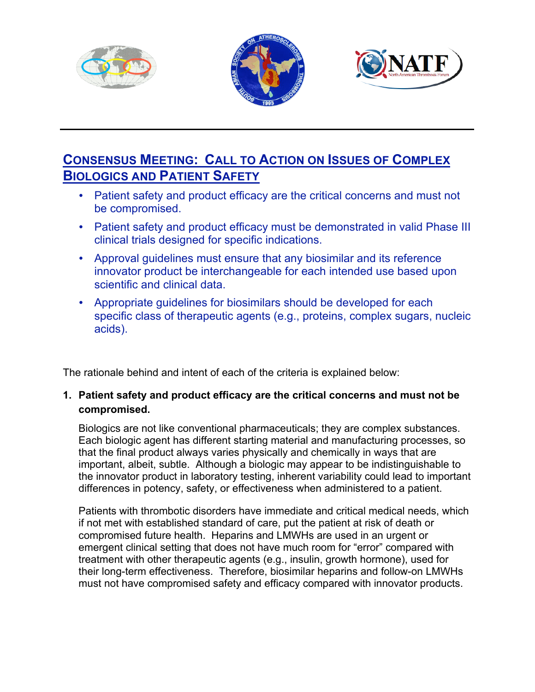





# **CONSENSUS MEETING: CALL TO ACTION ON ISSUES OF COMPLEX BIOLOGICS AND PATIENT SAFETY**

- Patient safety and product efficacy are the critical concerns and must not be compromised.
- Patient safety and product efficacy must be demonstrated in valid Phase III clinical trials designed for specific indications.
- Approval guidelines must ensure that any biosimilar and its reference innovator product be interchangeable for each intended use based upon scientific and clinical data.
- Appropriate guidelines for biosimilars should be developed for each specific class of therapeutic agents (e.g., proteins, complex sugars, nucleic acids).

The rationale behind and intent of each of the criteria is explained below:

## **1. Patient safety and product efficacy are the critical concerns and must not be compromised.**

Biologics are not like conventional pharmaceuticals; they are complex substances. Each biologic agent has different starting material and manufacturing processes, so that the final product always varies physically and chemically in ways that are important, albeit, subtle. Although a biologic may appear to be indistinguishable to the innovator product in laboratory testing, inherent variability could lead to important differences in potency, safety, or effectiveness when administered to a patient.

Patients with thrombotic disorders have immediate and critical medical needs, which if not met with established standard of care, put the patient at risk of death or compromised future health. Heparins and LMWHs are used in an urgent or emergent clinical setting that does not have much room for "error" compared with treatment with other therapeutic agents (e.g., insulin, growth hormone), used for their long-term effectiveness. Therefore, biosimilar heparins and follow-on LMWHs must not have compromised safety and efficacy compared with innovator products.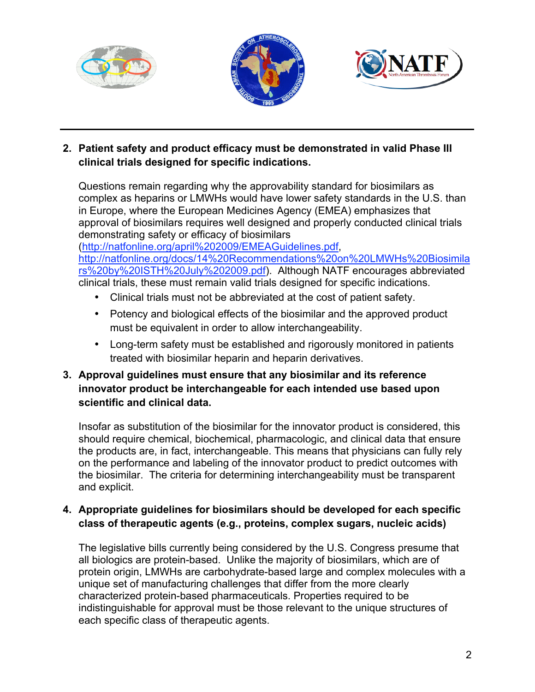





## **2. Patient safety and product efficacy must be demonstrated in valid Phase III clinical trials designed for specific indications.**

Questions remain regarding why the approvability standard for biosimilars as complex as heparins or LMWHs would have lower safety standards in the U.S. than in Europe, where the European Medicines Agency (EMEA) emphasizes that approval of biosimilars requires well designed and properly conducted clinical trials demonstrating safety or efficacy of biosimilars

(http://natfonline.org/april%202009/EMEAGuidelines.pdf, http://natfonline.org/docs/14%20Recommendations%20on%20LMWHs%20Biosimila rs%20by%20ISTH%20July%202009.pdf). Although NATF encourages abbreviated clinical trials, these must remain valid trials designed for specific indications.

- Clinical trials must not be abbreviated at the cost of patient safety.
- Potency and biological effects of the biosimilar and the approved product must be equivalent in order to allow interchangeability.
- Long-term safety must be established and rigorously monitored in patients treated with biosimilar heparin and heparin derivatives.

## **3. Approval guidelines must ensure that any biosimilar and its reference innovator product be interchangeable for each intended use based upon scientific and clinical data.**

Insofar as substitution of the biosimilar for the innovator product is considered, this should require chemical, biochemical, pharmacologic, and clinical data that ensure the products are, in fact, interchangeable. This means that physicians can fully rely on the performance and labeling of the innovator product to predict outcomes with the biosimilar. The criteria for determining interchangeability must be transparent and explicit.

## **4. Appropriate guidelines for biosimilars should be developed for each specific class of therapeutic agents (e.g., proteins, complex sugars, nucleic acids)**

The legislative bills currently being considered by the U.S. Congress presume that all biologics are protein-based. Unlike the majority of biosimilars, which are of protein origin, LMWHs are carbohydrate-based large and complex molecules with a unique set of manufacturing challenges that differ from the more clearly characterized protein-based pharmaceuticals. Properties required to be indistinguishable for approval must be those relevant to the unique structures of each specific class of therapeutic agents.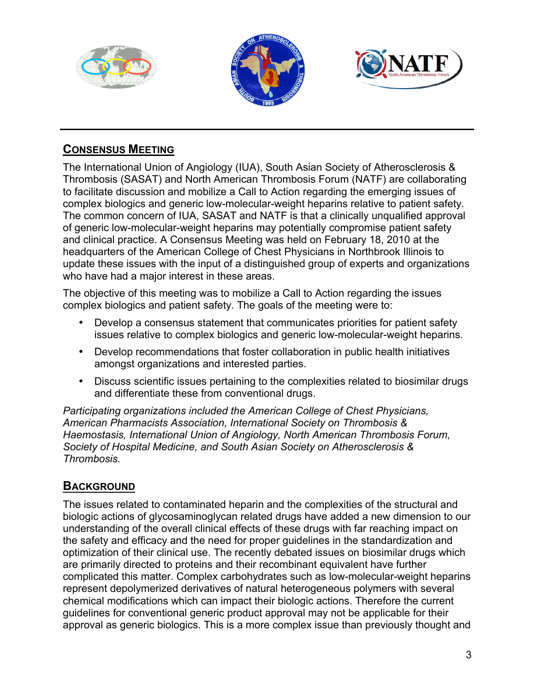





# **CONSENSUS MEETING**

The International Union of Angiology (IUA), South Asian Society of Atherosclerosis & Thrombosis (SASAT) and North American Thrombosis Forum (NATF) are collaborating to facilitate discussion and mobilize a Call to Action regarding the emerging issues of complex biologics and generic low-molecular-weight heparins relative to patient safety. The common concern of IUA, SASAT and NATF is that a clinically unqualified approval of generic low-molecular-weight heparins may potentially compromise patient safety and clinical practice. A Consensus Meeting was held on February 18, 2010 at the headquarters of the American College of Chest Physicians in Northbrook Illinois to update these issues with the input of a distinguished group of experts and organizations who have had a major interest in these areas.

The objective of this meeting was to mobilize a Call to Action regarding the issues complex biologics and patient safety. The goals of the meeting were to:

- Develop a consensus statement that communicates priorities for patient safety issues relative to complex biologics and generic low-molecular-weight heparins.
- Develop recommendations that foster collaboration in public health initiatives amongst organizations and interested parties.
- Discuss scientific issues pertaining to the complexities related to biosimilar drugs and differentiate these from conventional drugs.

*Participating organizations included the American College of Chest Physicians, American Pharmacists Association, International Society on Thrombosis & Haemostasis, International Union of Angiology, North American Thrombosis Forum, Society of Hospital Medicine, and South Asian Society on Atherosclerosis & Thrombosis.* 

# **BACKGROUND**

The issues related to contaminated heparin and the complexities of the structural and biologic actions of glycosaminoglycan related drugs have added a new dimension to our understanding of the overall clinical effects of these drugs with far reaching impact on the safety and efficacy and the need for proper guidelines in the standardization and optimization of their clinical use. The recently debated issues on biosimilar drugs which are primarily directed to proteins and their recombinant equivalent have further complicated this matter. Complex carbohydrates such as low-molecular-weight heparins represent depolymerized derivatives of natural heterogeneous polymers with several chemical modifications which can impact their biologic actions. Therefore the current guidelines for conventional generic product approval may not be applicable for their approval as generic biologics. This is a more complex issue than previously thought and